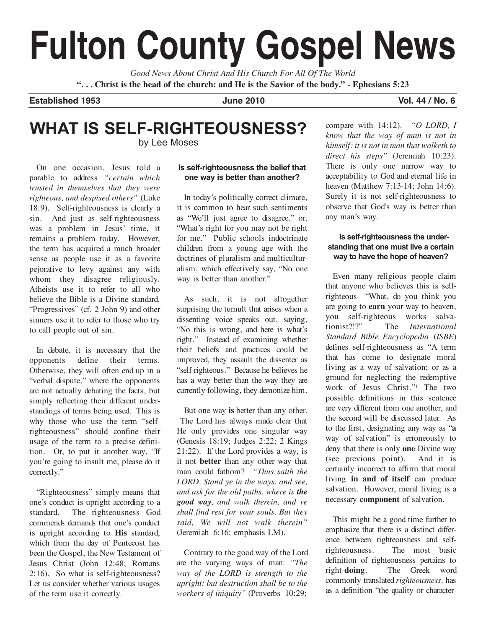# **Fulton County Gospel News**

*Good News About Christ And His Church For All Of The World* "... Christ is the head of the church: and He is the Savior of the body." - Ephesians 5:23

**Established 1953 June 2010 Vol. 44 / No. 6**

#### **WHAT IS SELF-RIGHTEOUSNESS?** by Lee Moses

On one occasion, Jesus told a

parable to address *"certain which trusted in themselves that they were righteous, and despised others"* (Luke 18:9). Self-righteousness is clearly a sin. And just as self-righteousness was a problem in Jesus' time, it remains a problem today. However, the term has acquired a much broader sense as people use it as a favorite pejorative to levy against any with whom they disagree religiously. Atheists use it to refer to all who believe the Bible is a Divine standard. "Progressives" (cf. 2 John 9) and other sinners use it to refer to those who try to call people out of sin.

In debate, it is necessary that the opponents define their terms. Otherwise, they will often end up in a "verbal dispute," where the opponents are not actually debating the facts, but simply reflecting their different understandings of terms being used. This is why those who use the term "selfrighteousness" should confine their usage of the term to a precise definition. Or, to put it another way, "If you're going to insult me, please do it correctly."

"Righteousness" simply means that one's conduct is upright according to a standard. The righteousness God commends demands that one's conduct is upright according to **His** standard, which from the day of Pentecost has been the Gospel, the New Testament of Jesus Christ (John 12:48; Romans 2:16). So what is self-righteousness? Let us consider whether various usages of the term use it correctly.

#### **Is self-righteousness the belief that one way is better than another?**

In today's politically correct climate, it is common to hear such sentiments as "We'll just agree to disagree," or, "What's right for you may not be right for me." Public schools indoctrinate children from a young age with the doctrines of pluralism and multiculturalism, which effectively say, "No one way is better than another."

As such, it is not altogether surprising the tumult that arises when a dissenting voice speaks out, saying, "No this is wrong, and here is what's right." Instead of examining whether their beliefs and practices could be improved, they assault the dissenter as "self-righteous." Because he believes he has a way better than the way they are currently following, they demonize him.

But one way **is** better than any other. The Lord has always made clear that He only provides one singular way (Genesis 18:19; Judges 2:22; 2 Kings 21:22). If the Lord provides a way, is it not **better** than any other way that man could fathom? *"Thus saith the LORD, Stand ye in the ways, and see, and ask for the old paths, where is the good way, and walk therein, and ye shall find rest for your souls. But they said, We will not walk therein"* (Jeremiah 6:16; emphasis LM).

Contrary to the good way of the Lord are the varying ways of man: *"The way of the LORD is strength to the upright: but destruction shall be to the workers of iniquity"* (Proverbs 10:29;

compare with 14:12). *"O LORD, I know that the way of man is not in himself: it is not in man that walketh to direct his steps"* (Jeremiah 10:23). There is only one narrow way to acceptability to God and eternal life in heaven (Matthew 7:13-14; John 14:6). Surely it is not self-righteousness to observe that God's way is better than any man's way.

#### **Is self-righteousness the understanding that one must live a certain way to have the hope of heaven?**

Even many religious people claim that anyone who believes this is selfrighteous—"What, do you think you are going to **earn** your way to heaven, you self-righteous works salvationist?!?" The *International Standard Bible Encyclopedia* (*ISBE*) defines self-righteousness as "A term that has come to designate moral living as a way of salvation; or as a ground for neglecting the redemptive work of Jesus Christ."1 The two possible definitions in this sentence are very different from one another, and the second will be discussed later. As to the first, designating any way as "**a** way of salvation" is erroneously to deny that there is only **one** Divine way (see previous point). And it is certainly incorrect to affirm that moral living **in and of itself** can produce salvation. However, moral living is a necessary **component** of salvation.

This might be a good time further to emphasize that there is a distinct difference between righteousness and selfrighteousness. The most basic definition of righteousness pertains to right-**doing**. The Greek word commonly translated *righteousness,* has as a definition "the quality or character-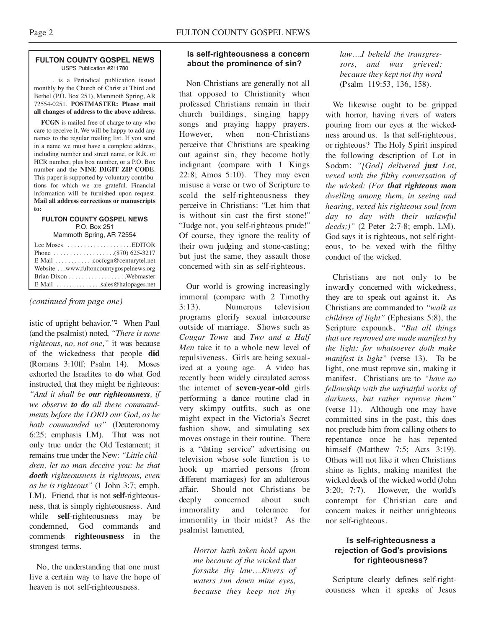#### **FULTON COUNTY GOSPEL NEWS** USPS Publication #211780

. . . is a Periodical publication issued monthly by the Church of Christ at Third and Bethel (P.O. Box 251), Mammoth Spring, AR 72554-0251. **POSTMASTER: Please mail all changes of address to the above address.**

**FCGN** is mailed free of charge to any who care to receive it. We will be happy to add any names to the regular mailing list. If you send in a name we must have a complete address, including number and street name, or R.R. or HCR number, plus box number, or a P.O. Box number and the **NINE DIGIT ZIP CODE**. This paper is supported by voluntary contributions for which we are grateful. Financial information will be furnished upon request. **Mail all address corrections or manuscripts to:**

#### **FULTON COUNTY GOSPEL NEWS** P.O. Box 251

Mammoth Spring, AR 72554

| Lee Moses $\dots\dots\dots\dots\dots\dots$ . EDITOR  |  |
|------------------------------------------------------|--|
|                                                      |  |
| E-Mail cocfcgn@centurytel.net                        |  |
| Website www.fultoncountygospelnews.org               |  |
|                                                      |  |
| E-Mail $\dots \dots \dots \dots$ sales@halopages.net |  |

#### *(continued from page one)*

istic of upright behavior."2 When Paul (and the psalmist) noted, *"There is none righteous, no, not one,"* it was because of the wickedness that people **did** (Romans 3:10ff; Psalm 14). Moses exhorted the Israelites to **do** what God instructed, that they might be righteous: *"And it shall be our righteousness, if we observe to do all these commandments before the LORD our God, as he hath commanded us"* (Deuteronomy 6:25; emphasis LM). That was not only true under the Old Testament; it remains true under the New: *"Little children, let no man deceive you: he that doeth righteousness is righteous, even as he is righteous"* (1 John 3:7; emph. LM). Friend, that is not **self**-righteousness, that is simply righteousness. And while **self**-righteousness may be condemned, God commands and commends **righteousness** in the strongest terms.

No, the understanding that one must live a certain way to have the hope of heaven is not self-righteousness.

#### **Is self-righteousness a concern about the prominence of sin?**

Non-Christians are generally not all that opposed to Christianity when professed Christians remain in their church buildings, singing happy songs and praying happy prayers. However, when non-Christians perceive that Christians are speaking out against sin, they become hotly indignant (compare with 1 Kings 22:8; Amos 5:10). They may even misuse a verse or two of Scripture to scold the self-righteousness they perceive in Christians: "Let him that is without sin cast the first stone!" "Judge not, you self-righteous prude!" Of course, they ignore the reality of their own judging and stone-casting; but just the same, they assault those concerned with sin as self-righteous.

Our world is growing increasingly immoral (compare with 2 Timothy 3:13). Numerous television programs glorify sexual intercourse outside of marriage. Shows such as *Cougar Town* and *Two and a Half Men* take it to a whole new level of repulsiveness. Girls are being sexualized at a young age. A video has recently been widely circulated across the internet of **seven-year-old** girls performing a dance routine clad in very skimpy outfits, such as one might expect in the Victoria's Secret fashion show, and simulating sex moves onstage in their routine. There is a "dating service" advertising on television whose sole function is to hook up married persons (from different marriages) for an adulterous affair. Should not Christians be deeply concerned about such immorality and tolerance for immorality in their midst? As the psalmist lamented,

*Horror hath taken hold upon me because of the wicked that forsake thy law….Rivers of waters run down mine eyes, because they keep not thy*

*law….I beheld the transgressors, and was grieved; because they kept not thy word* (Psalm 119:53, 136, 158).

We likewise ought to be gripped with horror, having rivers of waters pouring from our eyes at the wickedness around us. Is that self-righteous, or righteous? The Holy Spirit inspired the following description of Lot in Sodom: *"[God] delivered just Lot, vexed with the filthy conversation of the wicked: (For that righteous man dwelling among them, in seeing and hearing, vexed his righteous soul from day to day with their unlawful deeds;)"* (2 Peter 2:7-8; emph. LM). God says it is righteous, not self-righteous, to be vexed with the filthy conduct of the wicked.

Christians are not only to be inwardly concerned with wickedness, they are to speak out against it. As Christians are commanded to *"walk as children of light"* (Ephesians 5:8), the Scripture expounds, *"But all things that are reproved are made manifest by the light: for whatsoever doth make manifest is light"* (verse 13). To be light, one must reprove sin, making it manifest. Christians are to *"have no fellowship with the unfruitful works of darkness, but rather reprove them"* (verse 11). Although one may have committed sins in the past, this does not preclude him from calling others to repentance once he has repented himself (Matthew 7:5; Acts 3:19). Others will not like it when Christians shine as lights, making manifest the wicked deeds of the wicked world (John 3:20; 7:7). However, the world's contempt for Christian care and concern makes it neither unrighteous nor self-righteous.

#### **Is self-righteousness a rejection of God's provisions for righteousness?**

Scripture clearly defines self-righteousness when it speaks of Jesus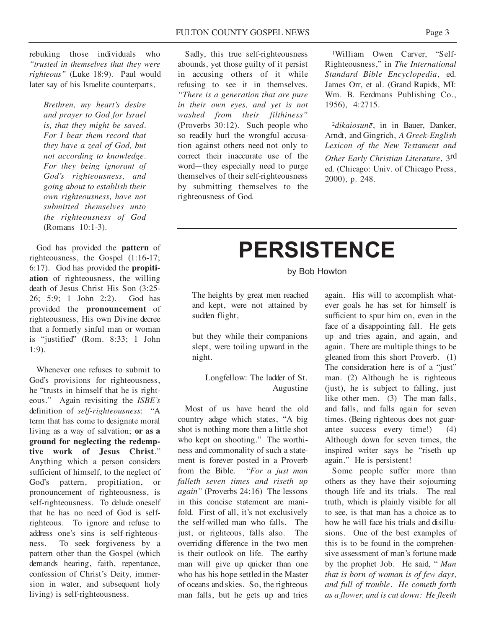rebuking those individuals who *"trusted in themselves that they were righteous"* (Luke 18:9). Paul would later say of his Israelite counterparts,

> *Brethren, my heart's desire and prayer to God for Israel is, that they might be saved. For I bear them record that they have a zeal of God, but not according to knowledge. For they being ignorant of God's righteousness, and going about to establish their own righteousness, have not submitted themselves unto the righteousness of God* (Romans 10:1-3).

God has provided the **pattern** of righteousness, the Gospel (1:16-17; 6:17). God has provided the **propitiation** of righteousness, the willing death of Jesus Christ His Son (3:25- 26; 5:9; 1 John 2:2). God has provided the **pronouncement** of righteousness, His own Divine decree that a formerly sinful man or woman is "justified" (Rom. 8:33; 1 John 1:9).

Whenever one refuses to submit to God's provisions for righteousness, he "trusts in himself that he is righteous." Again revisiting the *ISBE's* definition of *self-righteousness*: "A term that has come to designate moral living as a way of salvation; **or as a ground for neglecting the redemptive work of Jesus Christ**." Anything which a person considers sufficient of himself, to the neglect of God's pattern, propitiation, or pronouncement of righteousness, is self-righteousness. To delude oneself that he has no need of God is selfrighteous. To ignore and refuse to address one's sins is self-righteousness. To seek forgiveness by a pattern other than the Gospel (which demands hearing, faith, repentance, confession of Christ's Deity, immersion in water, and subsequent holy living) is self-righteousness.

Sadly, this true self-righteousness abounds, yet those guilty of it persist in accusing others of it while refusing to see it in themselves. *"There is a generation that are pure in their own eyes, and yet is not washed from their filthiness"* (Proverbs 30:12). Such people who so readily hurl the wrongful accusation against others need not only to correct their inaccurate use of the word—they especially need to purge themselves of their self-righteousness by submitting themselves to the righteousness of God.

1William Owen Carver, "Self-Righteousness," in *The International Standard Bible Encyclopedia*, ed. James Orr, et al. (Grand Rapids, MI: Wm. B. Eerdmans Publishing Co., 1956), 4:2715.

<sup>2</sup>*dikaiosunē*, in in Bauer, Danker, Arndt, and Gingrich, *A Greek-English Lexicon of the New Testament and Other Early Christian Literature*, 3rd ed. (Chicago: Univ. of Chicago Press, 2000), p. 248.

## **PERSISTENCE**

by Bob Howton

The heights by great men reached and kept, were not attained by sudden flight,

but they while their companions slept, were toiling upward in the night.

> Longfellow: The ladder of St. Augustine

Most of us have heard the old country adage which states, "A big shot is nothing more then a little shot who kept on shooting." The worthiness and commonality of such a statement is forever posted in a Proverb from the Bible. "*For a just man falleth seven times and riseth up again"* (Proverbs 24:16) The lessons in this concise statement are manifold. First of all, it's not exclusively the self-willed man who falls. The just, or righteous, falls also. The overriding difference in the two men is their outlook on life. The earthy man will give up quicker than one who has his hope settled in the Master of oceans and skies. So, the righteous man falls, but he gets up and tries

again. His will to accomplish whatever goals he has set for himself is sufficient to spur him on, even in the face of a disappointing fall. He gets up and tries again, and again, and again. There are multiple things to be gleaned from this short Proverb. (1) The consideration here is of a "just" man. (2) Although he is righteous (just), he is subject to falling, just like other men. (3) The man falls, and falls, and falls again for seven times. (Being righteous does not guarantee success every time!) (4) Although down for seven times, the inspired writer says he "riseth up again." He is persistent!

Some people suffer more than others as they have their sojourning though life and its trials. The real truth, which is plainly visible for all to see, is that man has a choice as to how he will face his trials and disillusions. One of the best examples of this is to be found in the comprehensive assessment of man's fortune made by the prophet Job. He said, " *Man that is born of woman is of few days, and full of trouble. He cometh forth as a flower, and is cut down: He fleeth*